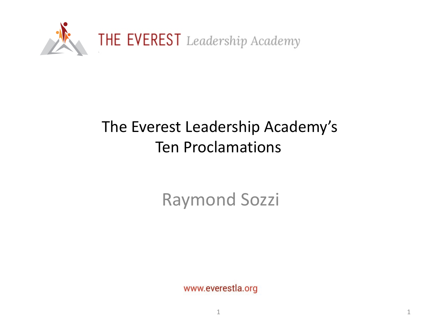

## The Everest Leadership Academy's Ten Proclamations

Raymond Sozzi

www.everestla.org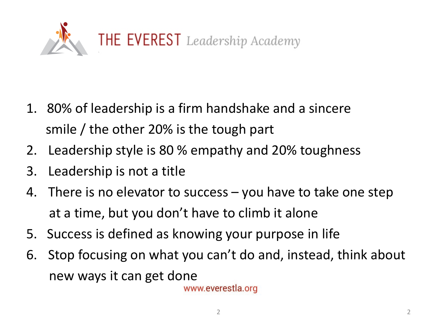

- 1. 80% of leadership is a firm handshake and a sincere smile / the other 20% is the tough part
- 2. Leadership style is 80 % empathy and 20% toughness
- 3. Leadership is not a title
- 4. There is no elevator to success you have to take one step at a time, but you don't have to climb it alone
- 5. Success is defined as knowing your purpose in life
- 6. Stop focusing on what you can't do and, instead, think about new ways it can get done

www.everestla.org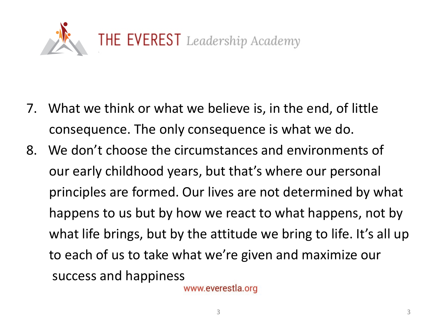

- 7. What we think or what we believe is, in the end, of little consequence. The only consequence is what we do.
- 8. We don't choose the circumstances and environments of our early childhood years, but that's where our personal principles are formed. Our lives are not determined by what happens to us but by how we react to what happens, not by what life brings, but by the attitude we bring to life. It's all up to each of us to take what we're given and maximize our success and happiness

www.everestla.org